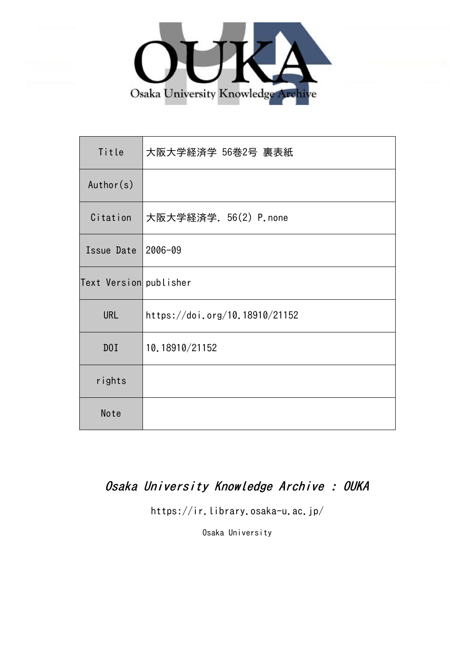

| Title                  | 大阪大学経済学 56巻2号 裏表紙              |
|------------------------|--------------------------------|
| Author(s)              |                                |
| Citation               | 大阪大学経済学. 56(2) P.none          |
| Issue Date             | 2006-09                        |
| Text Version publisher |                                |
| <b>URL</b>             | https://doi.org/10.18910/21152 |
| D0I                    | 10.18910/21152                 |
| rights                 |                                |
| Note                   |                                |

## Osaka University Knowledge Archive : OUKA

https://ir.library.osaka-u.ac.jp/

Osaka University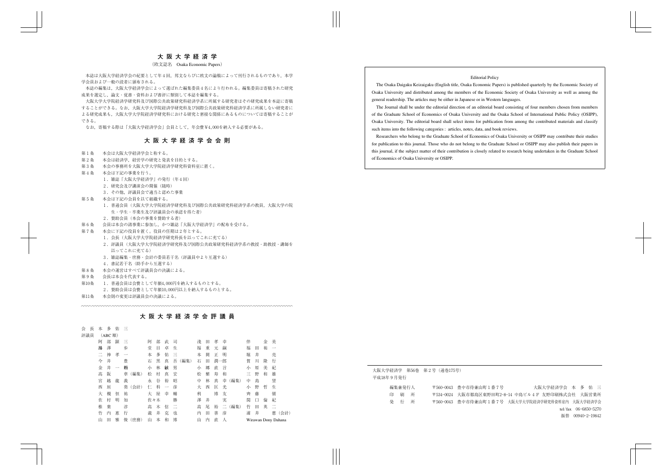## Editorial Policy

The Osaka Daigaku Keizaigaku (English title, Osaka Economic Papers) is published quarterly by the Economic Society of Osaka University and distributed among the members of the Economic Society of Osaka University as well as among the general readership. The articles may be either in Japanese or in Western languages.

The Journal shall be under the editorial direction of an editorial board consisting of four members chosen from members of the Graduate School of Economics of Osaka University and the Osaka School of International Public Policy (OSIPP), Osaka University. The editorial board shall select items for publication from among the contributed materials and classify such items into the following categories : articles, notes, data, and book reviews.

Researchers who belong to the Graduate School of Economics of Osaka University or OSIPP may contribute their studies for publication to this journal. Those who do not belong to the Graduate School or OSIPP may also publish their papers in this journal, if the subject matter of their contribution is closely related to research being undertaken in the Graduate School of Economics of Osaka University or OSIPP.

大阪大学経済学 第56巻 第2号(通巻175号) 平成18年9月発行 編集兼発行人 〒560-0043 豊中市待兼山町1番7号 大阪大学経済学会 本 多 佑三 印 刷 所 〒534―0024 大阪市都島区東野田町2―8―14 中島ビル4F 友野印刷株式会社 大阪営業所 発 行 所 〒560-0043 豊中市待兼山町1番7号 大阪大学大学院経済学研究科資料室内 大阪大学経済学会 tel/fax 06―6850―5270 振替 00940―2―19842